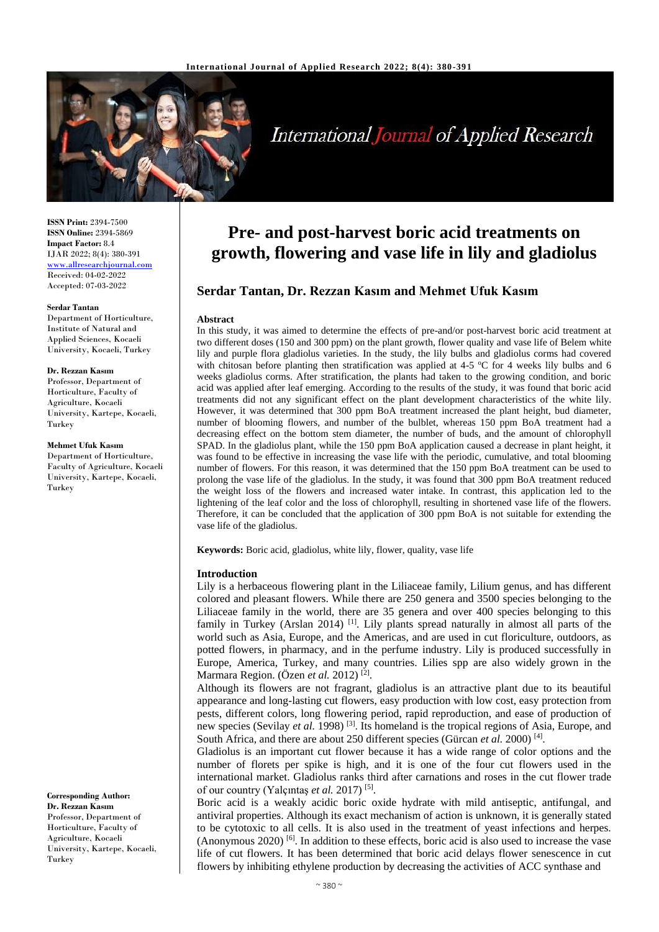

# **International Journal of Applied Research**

**ISSN Print:** 2394-7500 **ISSN Online:** 2394-5869 **Impact Factor:** 8.4 IJAR 2022; 8(4): 380-391 <www.allresearchjournal.com> Received: 04-02-2022 Accepted: 07-03-2022

#### **Serdar Tantan**

Department of Horticulture, Institute of Natural and Applied Sciences, Kocaeli University, Kocaeli, Turkey

#### **Dr. Rezzan Kasım**

Professor, Department of Horticulture, Faculty of Agriculture, Kocaeli University, Kartepe, Kocaeli, Turkey

**Mehmet Ufuk Kasım**

Department of Horticulture, Faculty of Agriculture, Kocaeli University, Kartepe, Kocaeli, Turkey

**Corresponding Author: Dr. Rezzan Kasım** Professor, Department of Horticulture, Faculty of Agriculture, Kocaeli University, Kartepe, Kocaeli, Turkey

## **Pre- and post-harvest boric acid treatments on growth, flowering and vase life in lily and gladiolus**

## **Serdar Tantan, Dr. Rezzan Kasım and Mehmet Ufuk Kasım**

#### **Abstract**

In this study, it was aimed to determine the effects of pre-and/or post-harvest boric acid treatment at two different doses (150 and 300 ppm) on the plant growth, flower quality and vase life of Belem white lily and purple flora gladiolus varieties. In the study, the lily bulbs and gladiolus corms had covered with chitosan before planting then stratification was applied at 4-5  $\degree$ C for 4 weeks lily bulbs and 6 weeks gladiolus corms. After stratification, the plants had taken to the growing condition, and boric acid was applied after leaf emerging. According to the results of the study, it was found that boric acid treatments did not any significant effect on the plant development characteristics of the white lily. However, it was determined that 300 ppm BoA treatment increased the plant height, bud diameter, number of blooming flowers, and number of the bulblet, whereas 150 ppm BoA treatment had a decreasing effect on the bottom stem diameter, the number of buds, and the amount of chlorophyll SPAD. In the gladiolus plant, while the 150 ppm BoA application caused a decrease in plant height, it was found to be effective in increasing the vase life with the periodic, cumulative, and total blooming number of flowers. For this reason, it was determined that the 150 ppm BoA treatment can be used to prolong the vase life of the gladiolus. In the study, it was found that 300 ppm BoA treatment reduced the weight loss of the flowers and increased water intake. In contrast, this application led to the lightening of the leaf color and the loss of chlorophyll, resulting in shortened vase life of the flowers. Therefore, it can be concluded that the application of 300 ppm BoA is not suitable for extending the vase life of the gladiolus.

**Keywords:** Boric acid, gladiolus, white lily, flower, quality, vase life

## **Introduction**

Lily is a herbaceous flowering plant in the Liliaceae family, Lilium genus, and has different colored and pleasant flowers. While there are 250 genera and 3500 species belonging to the Liliaceae family in the world, there are 35 genera and over 400 species belonging to this family in Turkey (Arslan 2014)<sup>[1]</sup>. Lily plants spread naturally in almost all parts of the world such as Asia, Europe, and the Americas, and are used in cut floriculture, outdoors, as potted flowers, in pharmacy, and in the perfume industry. Lily is produced successfully in Europe, America, Turkey, and many countries. Lilies spp are also widely grown in the Marmara Region. (Özen *et al.* 2012)<sup>[2]</sup>.

Although its flowers are not fragrant, gladiolus is an attractive plant due to its beautiful appearance and long-lasting cut flowers, easy production with low cost, easy protection from pests, different colors, long flowering period, rapid reproduction, and ease of production of new species (Sevilay *et al.* 1998) [3]. Its homeland is the tropical regions of Asia, Europe, and South Africa, and there are about 250 different species (Gürcan *et al.* 2000)<sup>[4]</sup>.

Gladiolus is an important cut flower because it has a wide range of color options and the number of florets per spike is high, and it is one of the four cut flowers used in the international market. Gladiolus ranks third after carnations and roses in the cut flower trade of our country (Yalçıntaş et al. 2017)<sup>[5]</sup>.

Boric acid is a weakly acidic boric oxide hydrate with mild antiseptic, antifungal, and antiviral properties. Although its exact mechanism of action is unknown, it is generally stated to be cytotoxic to all cells. It is also used in the treatment of yeast infections and herpes. (Anonymous 2020) [6]. In addition to these effects, boric acid is also used to increase the vase life of cut flowers. It has been determined that boric acid delays flower senescence in cut flowers by inhibiting ethylene production by decreasing the activities of ACC synthase and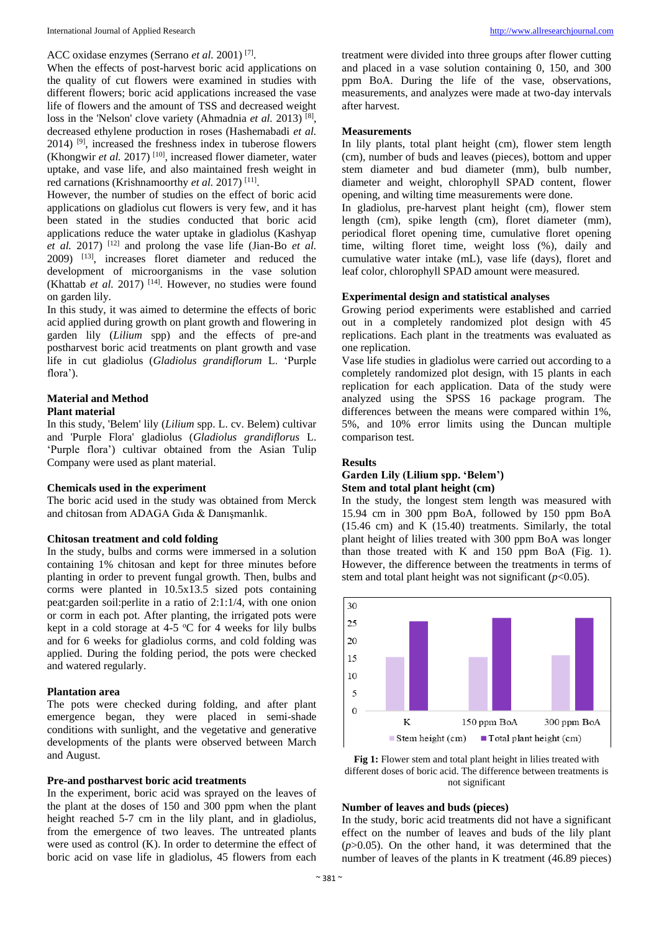## ACC oxidase enzymes (Serrano *et al.* 2001) [7] .

When the effects of post-harvest boric acid applications on the quality of cut flowers were examined in studies with different flowers; boric acid applications increased the vase life of flowers and the amount of TSS and decreased weight loss in the 'Nelson' clove variety (Ahmadnia *et al.* 2013)<sup>[8]</sup>, decreased ethylene production in roses (Hashemabadi *et al.* 2014) [9], increased the freshness index in tuberose flowers (Khongwir *et al.* 2017) [10], increased flower diameter, water uptake, and vase life, and also maintained fresh weight in red carnations (Krishnamoorthy et al. 2017)<sup>[11]</sup>.

However, the number of studies on the effect of boric acid applications on gladiolus cut flowers is very few, and it has been stated in the studies conducted that boric acid applications reduce the water uptake in gladiolus (Kashyap *et al.* 2017) [12] and prolong the vase life (Jian-Bo *et al.* 2009) [13], increases floret diameter and reduced the development of microorganisms in the vase solution (Khattab *et al.* 2017) [14]. However, no studies were found on garden lily.

In this study, it was aimed to determine the effects of boric acid applied during growth on plant growth and flowering in garden lily (*Lilium* spp) and the effects of pre-and postharvest boric acid treatments on plant growth and vase life in cut gladiolus (*Gladiolus grandiflorum* L. 'Purple flora').

## **Material and Method Plant material**

In this study, 'Belem' lily (*Lilium* spp. L. cv. Belem) cultivar and 'Purple Flora' gladiolus (*Gladiolus grandiflorus* L. 'Purple flora') cultivar obtained from the Asian Tulip Company were used as plant material.

#### **Chemicals used in the experiment**

The boric acid used in the study was obtained from Merck and chitosan from ADAGA Gıda & Danışmanlık.

#### **Chitosan treatment and cold folding**

In the study, bulbs and corms were immersed in a solution containing 1% chitosan and kept for three minutes before planting in order to prevent fungal growth. Then, bulbs and corms were planted in 10.5x13.5 sized pots containing peat:garden soil:perlite in a ratio of 2:1:1/4, with one onion or corm in each pot. After planting, the irrigated pots were kept in a cold storage at 4-5  $\mathrm{^{\circ}C}$  for 4 weeks for lily bulbs and for 6 weeks for gladiolus corms, and cold folding was applied. During the folding period, the pots were checked and watered regularly.

#### **Plantation area**

The pots were checked during folding, and after plant emergence began, they were placed in semi-shade conditions with sunlight, and the vegetative and generative developments of the plants were observed between March and August.

## **Pre-and postharvest boric acid treatments**

In the experiment, boric acid was sprayed on the leaves of the plant at the doses of 150 and 300 ppm when the plant height reached 5-7 cm in the lily plant, and in gladiolus, from the emergence of two leaves. The untreated plants were used as control (K). In order to determine the effect of boric acid on vase life in gladiolus, 45 flowers from each

treatment were divided into three groups after flower cutting and placed in a vase solution containing 0, 150, and 300 ppm BoA. During the life of the vase, observations, measurements, and analyzes were made at two-day intervals after harvest.

#### **Measurements**

In lily plants, total plant height (cm), flower stem length (cm), number of buds and leaves (pieces), bottom and upper stem diameter and bud diameter (mm), bulb number, diameter and weight, chlorophyll SPAD content, flower opening, and wilting time measurements were done.

In gladiolus, pre-harvest plant height (cm), flower stem length (cm), spike length (cm), floret diameter (mm), periodical floret opening time, cumulative floret opening time, wilting floret time, weight loss (%), daily and cumulative water intake (mL), vase life (days), floret and leaf color, chlorophyll SPAD amount were measured.

### **Experimental design and statistical analyses**

Growing period experiments were established and carried out in a completely randomized plot design with 45 replications. Each plant in the treatments was evaluated as one replication.

Vase life studies in gladiolus were carried out according to a completely randomized plot design, with 15 plants in each replication for each application. Data of the study were analyzed using the SPSS 16 package program. The differences between the means were compared within 1%, 5%, and 10% error limits using the Duncan multiple comparison test.

#### **Results**

## **Garden Lily (Lilium spp. 'Belem') Stem and total plant height (cm)**

In the study, the longest stem length was measured with 15.94 cm in 300 ppm BoA, followed by 150 ppm BoA (15.46 cm) and K (15.40) treatments. Similarly, the total plant height of lilies treated with 300 ppm BoA was longer than those treated with K and  $150$  ppm BoA (Fig. 1). However, the difference between the treatments in terms of stem and total plant height was not significant  $(p<0.05)$ .





## **Number of leaves and buds (pieces)**

In the study, boric acid treatments did not have a significant effect on the number of leaves and buds of the lily plant  $(p>0.05)$ . On the other hand, it was determined that the number of leaves of the plants in K treatment (46.89 pieces)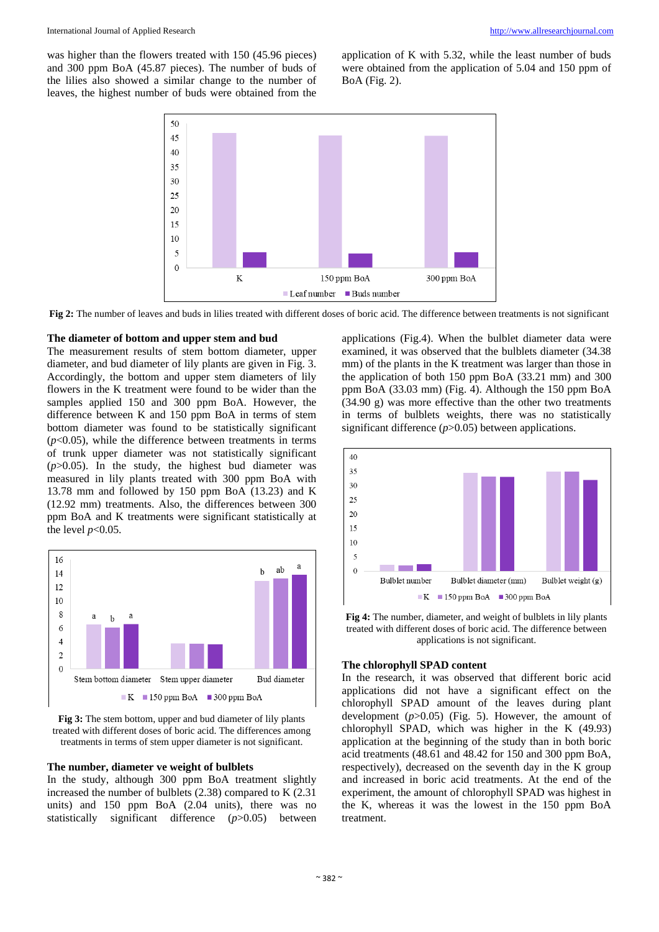was higher than the flowers treated with 150 (45.96 pieces) and 300 ppm BoA (45.87 pieces). The number of buds of the lilies also showed a similar change to the number of leaves, the highest number of buds were obtained from the

application of K with 5.32, while the least number of buds were obtained from the application of 5.04 and 150 ppm of BoA (Fig. 2).



**Fig 2:** The number of leaves and buds in lilies treated with different doses of boric acid. The difference between treatments is not significant

#### **The diameter of bottom and upper stem and bud**

The measurement results of stem bottom diameter, upper diameter, and bud diameter of lily plants are given in Fig. 3. Accordingly, the bottom and upper stem diameters of lily flowers in the K treatment were found to be wider than the samples applied 150 and 300 ppm BoA. However, the difference between K and 150 ppm BoA in terms of stem bottom diameter was found to be statistically significant  $(p<0.05)$ , while the difference between treatments in terms of trunk upper diameter was not statistically significant  $(p>0.05)$ . In the study, the highest bud diameter was measured in lily plants treated with 300 ppm BoA with 13.78 mm and followed by 150 ppm BoA (13.23) and K (12.92 mm) treatments. Also, the differences between 300 ppm BoA and K treatments were significant statistically at the level  $p<0.05$ .





## **The number, diameter ve weight of bulblets**

In the study, although 300 ppm BoA treatment slightly increased the number of bulblets (2.38) compared to K (2.31 units) and 150 ppm BoA (2.04 units), there was no statistically significant difference (*p*>0.05) between

applications (Fig.4). When the bulblet diameter data were examined, it was observed that the bulblets diameter (34.38 mm) of the plants in the K treatment was larger than those in the application of both 150 ppm BoA (33.21 mm) and 300 ppm BoA (33.03 mm) (Fig. 4). Although the 150 ppm BoA (34.90 g) was more effective than the other two treatments in terms of bulblets weights, there was no statistically significant difference (*p*>0.05) between applications.



**Fig 4:** The number, diameter, and weight of bulblets in lily plants treated with different doses of boric acid. The difference between applications is not significant.

#### **The chlorophyll SPAD content**

In the research, it was observed that different boric acid applications did not have a significant effect on the chlorophyll SPAD amount of the leaves during plant development (*p*>0.05) (Fig. 5). However, the amount of chlorophyll SPAD, which was higher in the K (49.93) application at the beginning of the study than in both boric acid treatments (48.61 and 48.42 for 150 and 300 ppm BoA, respectively), decreased on the seventh day in the K group and increased in boric acid treatments. At the end of the experiment, the amount of chlorophyll SPAD was highest in the K, whereas it was the lowest in the 150 ppm BoA treatment.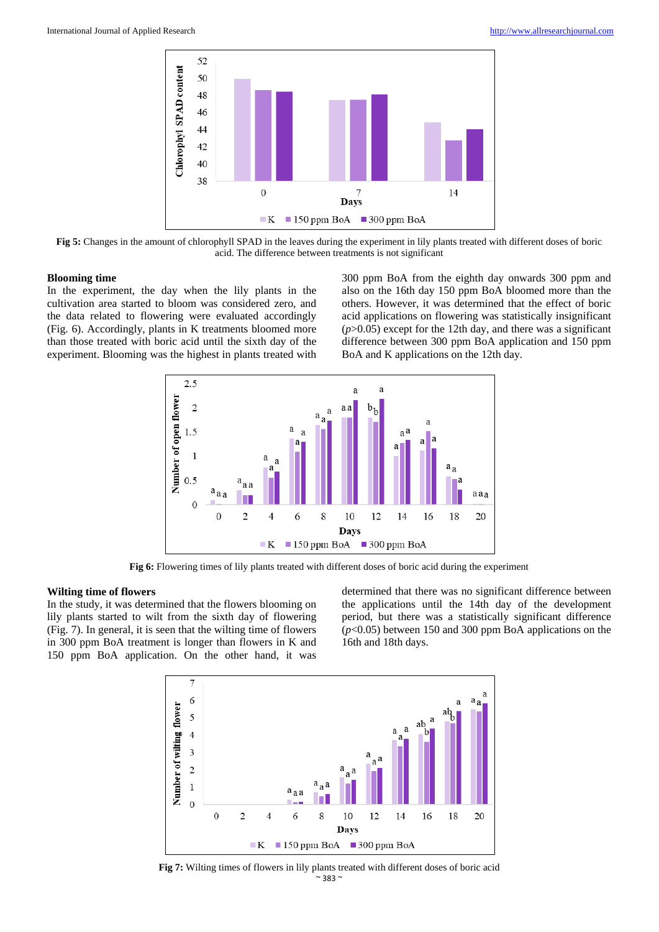

**Fig 5:** Changes in the amount of chlorophyll SPAD in the leaves during the experiment in lily plants treated with different doses of boric acid. The difference between treatments is not significant

#### **Blooming time**

In the experiment, the day when the lily plants in the cultivation area started to bloom was considered zero, and the data related to flowering were evaluated accordingly (Fig. 6). Accordingly, plants in K treatments bloomed more than those treated with boric acid until the sixth day of the experiment. Blooming was the highest in plants treated with

300 ppm BoA from the eighth day onwards 300 ppm and also on the 16th day 150 ppm BoA bloomed more than the others. However, it was determined that the effect of boric acid applications on flowering was statistically insignificant  $(p>0.05)$  except for the 12th day, and there was a significant difference between 300 ppm BoA application and 150 ppm BoA and K applications on the 12th day.



**Fig 6:** Flowering times of lily plants treated with different doses of boric acid during the experiment

#### **Wilting time of flowers**

In the study, it was determined that the flowers blooming on lily plants started to wilt from the sixth day of flowering (Fig. 7). In general, it is seen that the wilting time of flowers in 300 ppm BoA treatment is longer than flowers in K and 150 ppm BoA application. On the other hand, it was

determined that there was no significant difference between the applications until the 14th day of the development period, but there was a statistically significant difference (*p*<0.05) between 150 and 300 ppm BoA applications on the 16th and 18th days.



 $~^{\sim}$  383  $^{\sim}$ **Fig 7:** Wilting times of flowers in lily plants treated with different doses of boric acid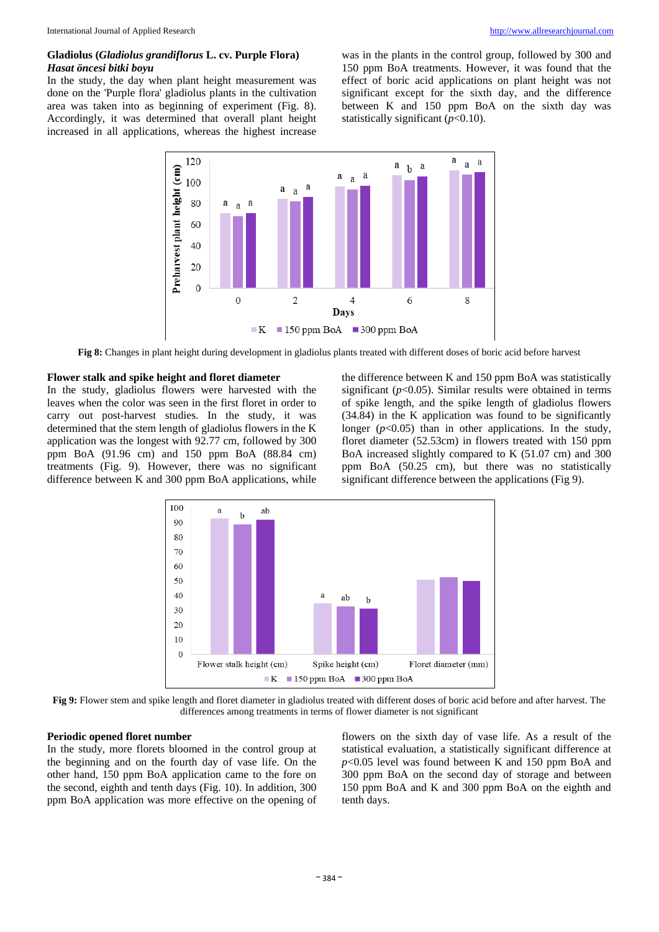## **Gladiolus (***Gladiolus grandiflorus* **L. cv. Purple Flora)**  *Hasat öncesi bitki boyu*

In the study, the day when plant height measurement was done on the 'Purple flora' gladiolus plants in the cultivation area was taken into as beginning of experiment (Fig. 8). Accordingly, it was determined that overall plant height increased in all applications, whereas the highest increase

was in the plants in the control group, followed by 300 and 150 ppm BoA treatments. However, it was found that the effect of boric acid applications on plant height was not significant except for the sixth day, and the difference between K and 150 ppm BoA on the sixth day was statistically significant (*p*<0.10).



**Fig 8:** Changes in plant height during development in gladiolus plants treated with different doses of boric acid before harvest

## **Flower stalk and spike height and floret diameter**

In the study, gladiolus flowers were harvested with the leaves when the color was seen in the first floret in order to carry out post-harvest studies. In the study, it was determined that the stem length of gladiolus flowers in the K application was the longest with 92.77 cm, followed by 300 ppm BoA (91.96 cm) and 150 ppm BoA (88.84 cm) treatments (Fig. 9). However, there was no significant difference between K and 300 ppm BoA applications, while the difference between K and 150 ppm BoA was statistically significant  $(p<0.05)$ . Similar results were obtained in terms of spike length, and the spike length of gladiolus flowers (34.84) in the K application was found to be significantly longer  $(p<0.05)$  than in other applications. In the study, floret diameter (52.53cm) in flowers treated with 150 ppm BoA increased slightly compared to K (51.07 cm) and 300 ppm BoA (50.25 cm), but there was no statistically significant difference between the applications (Fig 9).



**Fig 9:** Flower stem and spike length and floret diameter in gladiolus treated with different doses of boric acid before and after harvest. The differences among treatments in terms of flower diameter is not significant

## **Periodic opened floret number**

In the study, more florets bloomed in the control group at the beginning and on the fourth day of vase life. On the other hand, 150 ppm BoA application came to the fore on the second, eighth and tenth days (Fig. 10). In addition, 300 ppm BoA application was more effective on the opening of

flowers on the sixth day of vase life. As a result of the statistical evaluation, a statistically significant difference at *p*<0.05 level was found between K and 150 ppm BoA and 300 ppm BoA on the second day of storage and between 150 ppm BoA and K and 300 ppm BoA on the eighth and tenth days.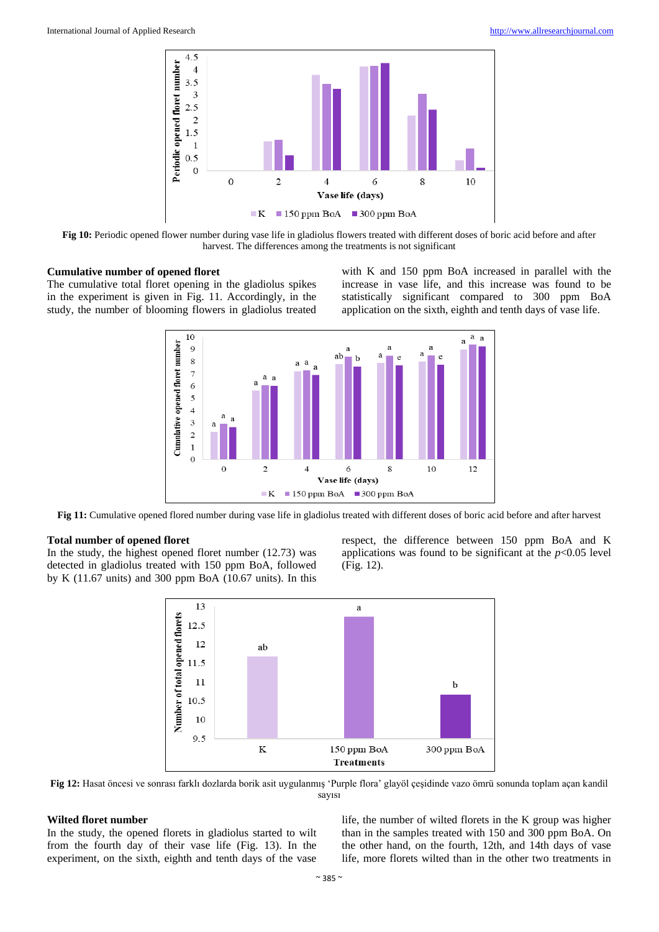

**Fig 10:** Periodic opened flower number during vase life in gladiolus flowers treated with different doses of boric acid before and after harvest. The differences among the treatments is not significant

#### **Cumulative number of opened floret**

The cumulative total floret opening in the gladiolus spikes in the experiment is given in Fig. 11. Accordingly, in the study, the number of blooming flowers in gladiolus treated

with K and 150 ppm BoA increased in parallel with the increase in vase life, and this increase was found to be statistically significant compared to 300 ppm BoA application on the sixth, eighth and tenth days of vase life.



**Fig 11:** Cumulative opened flored number during vase life in gladiolus treated with different doses of boric acid before and after harvest

## **Total number of opened floret**

In the study, the highest opened floret number (12.73) was detected in gladiolus treated with 150 ppm BoA, followed by K (11.67 units) and 300 ppm BoA (10.67 units). In this respect, the difference between 150 ppm BoA and K applications was found to be significant at the *p*<0.05 level (Fig. 12).



**Fig 12:** Hasat öncesi ve sonrası farklı dozlarda borik asit uygulanmış 'Purple flora' glayöl çeşidinde vazo ömrü sonunda toplam açan kandil sayısı

## **Wilted floret number**

In the study, the opened florets in gladiolus started to wilt from the fourth day of their vase life (Fig. 13). In the experiment, on the sixth, eighth and tenth days of the vase

life, the number of wilted florets in the K group was higher than in the samples treated with 150 and 300 ppm BoA. On the other hand, on the fourth, 12th, and 14th days of vase life, more florets wilted than in the other two treatments in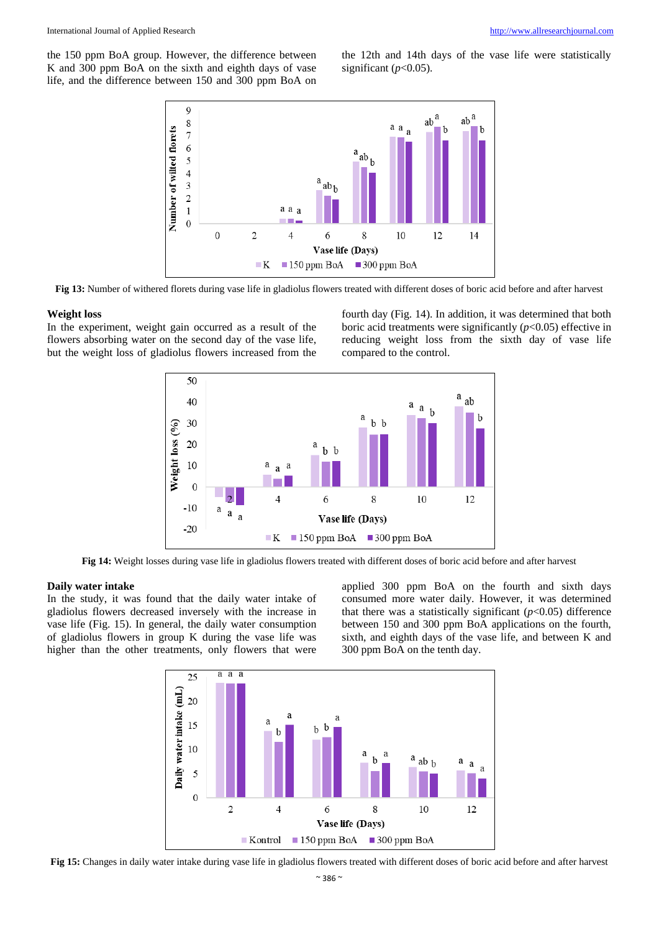the 150 ppm BoA group. However, the difference between K and 300 ppm BoA on the sixth and eighth days of vase life, and the difference between 150 and 300 ppm BoA on

the 12th and 14th days of the vase life were statistically significant  $(p<0.05)$ .



**Fig 13:** Number of withered florets during vase life in gladiolus flowers treated with different doses of boric acid before and after harvest

#### **Weight loss**

In the experiment, weight gain occurred as a result of the flowers absorbing water on the second day of the vase life, but the weight loss of gladiolus flowers increased from the fourth day (Fig. 14). In addition, it was determined that both boric acid treatments were significantly  $(p<0.05)$  effective in reducing weight loss from the sixth day of vase life compared to the control.



**Fig 14:** Weight losses during vase life in gladiolus flowers treated with different doses of boric acid before and after harvest

## **Daily water intake**

In the study, it was found that the daily water intake of gladiolus flowers decreased inversely with the increase in vase life (Fig. 15). In general, the daily water consumption of gladiolus flowers in group K during the vase life was higher than the other treatments, only flowers that were

applied 300 ppm BoA on the fourth and sixth days consumed more water daily. However, it was determined that there was a statistically significant  $(p<0.05)$  difference between 150 and 300 ppm BoA applications on the fourth, sixth, and eighth days of the vase life, and between K and 300 ppm BoA on the tenth day.



**Fig 15:** Changes in daily water intake during vase life in gladiolus flowers treated with different doses of boric acid before and after harvest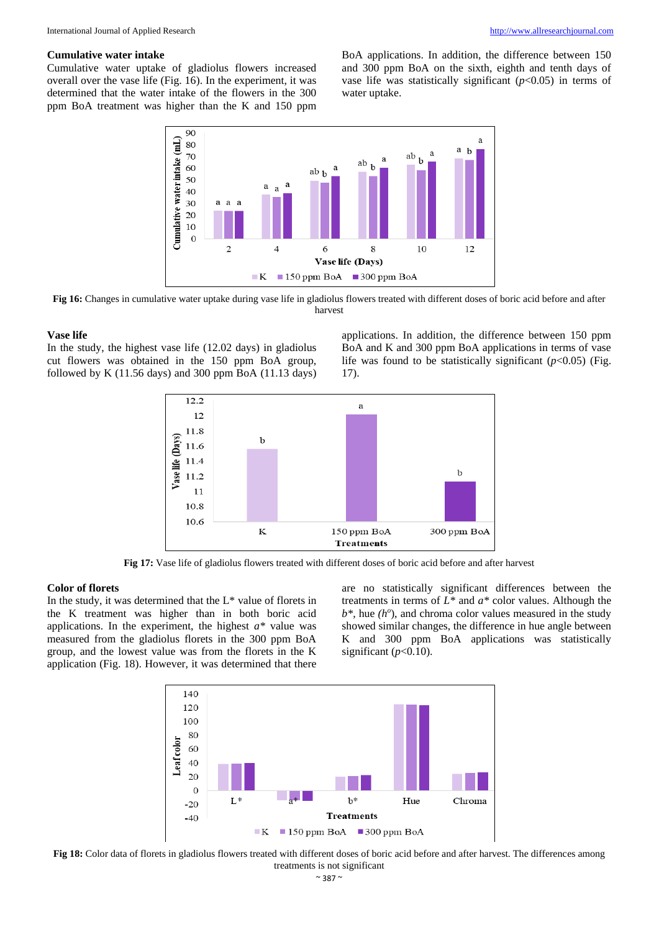#### **Cumulative water intake**

Cumulative water uptake of gladiolus flowers increased overall over the vase life (Fig. 16). In the experiment, it was determined that the water intake of the flowers in the 300 ppm BoA treatment was higher than the K and 150 ppm

BoA applications. In addition, the difference between 150 and 300 ppm BoA on the sixth, eighth and tenth days of vase life was statistically significant  $(p<0.05)$  in terms of water uptake.



**Fig 16:** Changes in cumulative water uptake during vase life in gladiolus flowers treated with different doses of boric acid before and after harvest

## **Vase life**

In the study, the highest vase life (12.02 days) in gladiolus cut flowers was obtained in the 150 ppm BoA group, followed by K  $(11.56 \text{ days})$  and 300 ppm BoA  $(11.13 \text{ days})$  applications. In addition, the difference between 150 ppm BoA and K and 300 ppm BoA applications in terms of vase life was found to be statistically significant  $(p<0.05)$  (Fig. 17).



**Fig 17:** Vase life of gladiolus flowers treated with different doses of boric acid before and after harvest

## **Color of florets**

In the study, it was determined that the L\* value of florets in the K treatment was higher than in both boric acid applications. In the experiment, the highest *a\** value was measured from the gladiolus florets in the 300 ppm BoA group, and the lowest value was from the florets in the K application (Fig. 18). However, it was determined that there

are no statistically significant differences between the treatments in terms of *L\** and *a\** color values. Although the *b\**, hue *(h<sup>o</sup>* ), and chroma color values measured in the study showed similar changes, the difference in hue angle between K and 300 ppm BoA applications was statistically significant  $(p<0.10)$ .



**Fig 18:** Color data of florets in gladiolus flowers treated with different doses of boric acid before and after harvest. The differences among treatments is not significant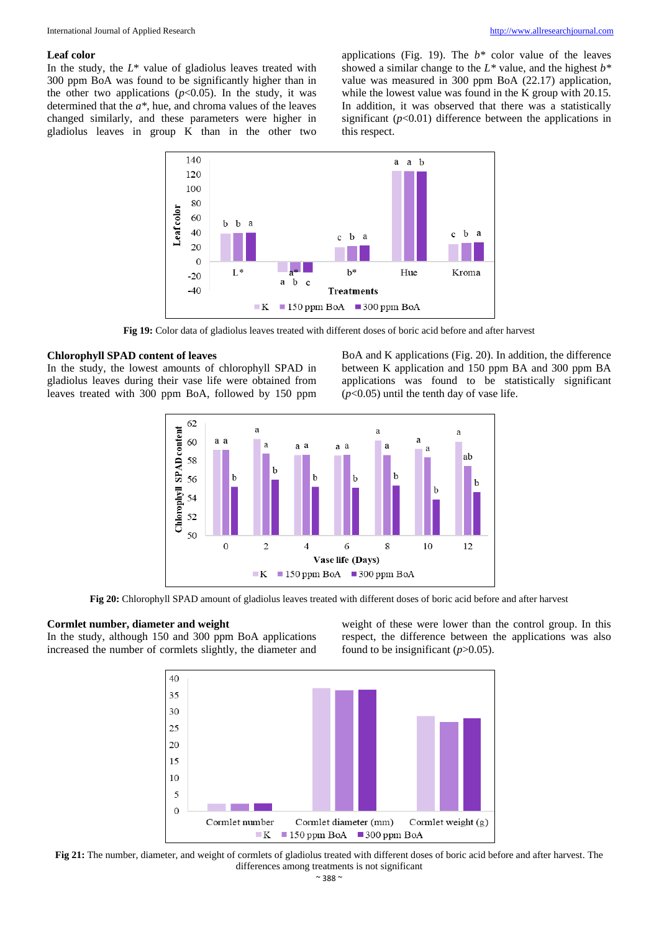## **Leaf color**

In the study, the  $L^*$  value of gladiolus leaves treated with 300 ppm BoA was found to be significantly higher than in the other two applications  $(p<0.05)$ . In the study, it was determined that the *a\**, hue, and chroma values of the leaves changed similarly, and these parameters were higher in gladiolus leaves in group K than in the other two

applications (Fig. 19). The *b\** color value of the leaves showed a similar change to the *L\** value, and the highest *b\** value was measured in 300 ppm BoA (22.17) application, while the lowest value was found in the K group with 20.15. In addition, it was observed that there was a statistically significant  $(p<0.01)$  difference between the applications in this respect.



**Fig 19:** Color data of gladiolus leaves treated with different doses of boric acid before and after harvest

## **Chlorophyll SPAD content of leaves**

In the study, the lowest amounts of chlorophyll SPAD in gladiolus leaves during their vase life were obtained from leaves treated with 300 ppm BoA, followed by 150 ppm

BoA and K applications (Fig. 20). In addition, the difference between K application and 150 ppm BA and 300 ppm BA applications was found to be statistically significant  $(p<0.05)$  until the tenth day of vase life.



**Fig 20:** Chlorophyll SPAD amount of gladiolus leaves treated with different doses of boric acid before and after harvest

## **Cormlet number, diameter and weight**

In the study, although 150 and 300 ppm BoA applications increased the number of cormlets slightly, the diameter and weight of these were lower than the control group. In this respect, the difference between the applications was also found to be insignificant  $(p>0.05)$ .



**Fig 21:** The number, diameter, and weight of cormlets of gladiolus treated with different doses of boric acid before and after harvest. The differences among treatments is not significant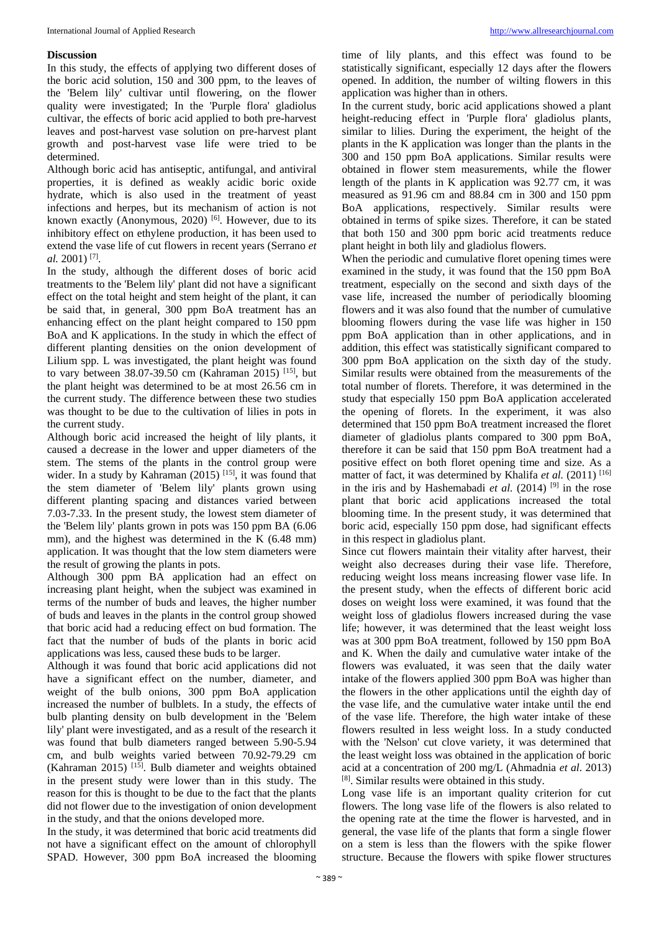## **Discussion**

In this study, the effects of applying two different doses of the boric acid solution, 150 and 300 ppm, to the leaves of the 'Belem lily' cultivar until flowering, on the flower quality were investigated; In the 'Purple flora' gladiolus cultivar, the effects of boric acid applied to both pre-harvest leaves and post-harvest vase solution on pre-harvest plant growth and post-harvest vase life were tried to be determined.

Although boric acid has antiseptic, antifungal, and antiviral properties, it is defined as weakly acidic boric oxide hydrate, which is also used in the treatment of yeast infections and herpes, but its mechanism of action is not known exactly (Anonymous, 2020)  $[6]$ . However, due to its inhibitory effect on ethylene production, it has been used to extend the vase life of cut flowers in recent years (Serrano *et al.* 2001) [7] .

In the study, although the different doses of boric acid treatments to the 'Belem lily' plant did not have a significant effect on the total height and stem height of the plant, it can be said that, in general, 300 ppm BoA treatment has an enhancing effect on the plant height compared to 150 ppm BoA and K applications. In the study in which the effect of different planting densities on the onion development of Lilium spp. L was investigated, the plant height was found to vary between 38.07-39.50 cm (Kahraman 2015) [15], but the plant height was determined to be at most 26.56 cm in the current study. The difference between these two studies was thought to be due to the cultivation of lilies in pots in the current study.

Although boric acid increased the height of lily plants, it caused a decrease in the lower and upper diameters of the stem. The stems of the plants in the control group were wider. In a study by Kahraman (2015) <sup>[15]</sup>, it was found that the stem diameter of 'Belem lily' plants grown using different planting spacing and distances varied between 7.03-7.33. In the present study, the lowest stem diameter of the 'Belem lily' plants grown in pots was 150 ppm BA (6.06 mm), and the highest was determined in the K (6.48 mm) application. It was thought that the low stem diameters were the result of growing the plants in pots.

Although 300 ppm BA application had an effect on increasing plant height, when the subject was examined in terms of the number of buds and leaves, the higher number of buds and leaves in the plants in the control group showed that boric acid had a reducing effect on bud formation. The fact that the number of buds of the plants in boric acid applications was less, caused these buds to be larger.

Although it was found that boric acid applications did not have a significant effect on the number, diameter, and weight of the bulb onions, 300 ppm BoA application increased the number of bulblets. In a study, the effects of bulb planting density on bulb development in the 'Belem lily' plant were investigated, and as a result of the research it was found that bulb diameters ranged between 5.90-5.94 cm, and bulb weights varied between 70.92-79.29 cm (Kahraman 2015)  $[15]$ . Bulb diameter and weights obtained in the present study were lower than in this study. The reason for this is thought to be due to the fact that the plants did not flower due to the investigation of onion development in the study, and that the onions developed more.

In the study, it was determined that boric acid treatments did not have a significant effect on the amount of chlorophyll SPAD. However, 300 ppm BoA increased the blooming

time of lily plants, and this effect was found to be statistically significant, especially 12 days after the flowers opened. In addition, the number of wilting flowers in this application was higher than in others.

In the current study, boric acid applications showed a plant height-reducing effect in 'Purple flora' gladiolus plants, similar to lilies. During the experiment, the height of the plants in the K application was longer than the plants in the 300 and 150 ppm BoA applications. Similar results were obtained in flower stem measurements, while the flower length of the plants in K application was 92.77 cm, it was measured as 91.96 cm and 88.84 cm in 300 and 150 ppm BoA applications, respectively. Similar results were obtained in terms of spike sizes. Therefore, it can be stated that both 150 and 300 ppm boric acid treatments reduce plant height in both lily and gladiolus flowers.

When the periodic and cumulative floret opening times were examined in the study, it was found that the 150 ppm BoA treatment, especially on the second and sixth days of the vase life, increased the number of periodically blooming flowers and it was also found that the number of cumulative blooming flowers during the vase life was higher in 150 ppm BoA application than in other applications, and in addition, this effect was statistically significant compared to 300 ppm BoA application on the sixth day of the study. Similar results were obtained from the measurements of the total number of florets. Therefore, it was determined in the study that especially 150 ppm BoA application accelerated the opening of florets. In the experiment, it was also determined that 150 ppm BoA treatment increased the floret diameter of gladiolus plants compared to 300 ppm BoA, therefore it can be said that 150 ppm BoA treatment had a positive effect on both floret opening time and size. As a matter of fact, it was determined by Khalifa *et al.* (2011)<sup>[16]</sup> in the iris and by Hashemabadi *et al.*  $(2014)$ <sup>[9]</sup> in the rose plant that boric acid applications increased the total blooming time. In the present study, it was determined that boric acid, especially 150 ppm dose, had significant effects in this respect in gladiolus plant.

Since cut flowers maintain their vitality after harvest, their weight also decreases during their vase life. Therefore, reducing weight loss means increasing flower vase life. In the present study, when the effects of different boric acid doses on weight loss were examined, it was found that the weight loss of gladiolus flowers increased during the vase life; however, it was determined that the least weight loss was at 300 ppm BoA treatment, followed by 150 ppm BoA and K. When the daily and cumulative water intake of the flowers was evaluated, it was seen that the daily water intake of the flowers applied 300 ppm BoA was higher than the flowers in the other applications until the eighth day of the vase life, and the cumulative water intake until the end of the vase life. Therefore, the high water intake of these flowers resulted in less weight loss. In a study conducted with the 'Nelson' cut clove variety, it was determined that the least weight loss was obtained in the application of boric acid at a concentration of 200 mg/L (Ahmadnia *et al*. 2013) [8]. Similar results were obtained in this study.

Long vase life is an important quality criterion for cut flowers. The long vase life of the flowers is also related to the opening rate at the time the flower is harvested, and in general, the vase life of the plants that form a single flower on a stem is less than the flowers with the spike flower structure. Because the flowers with spike flower structures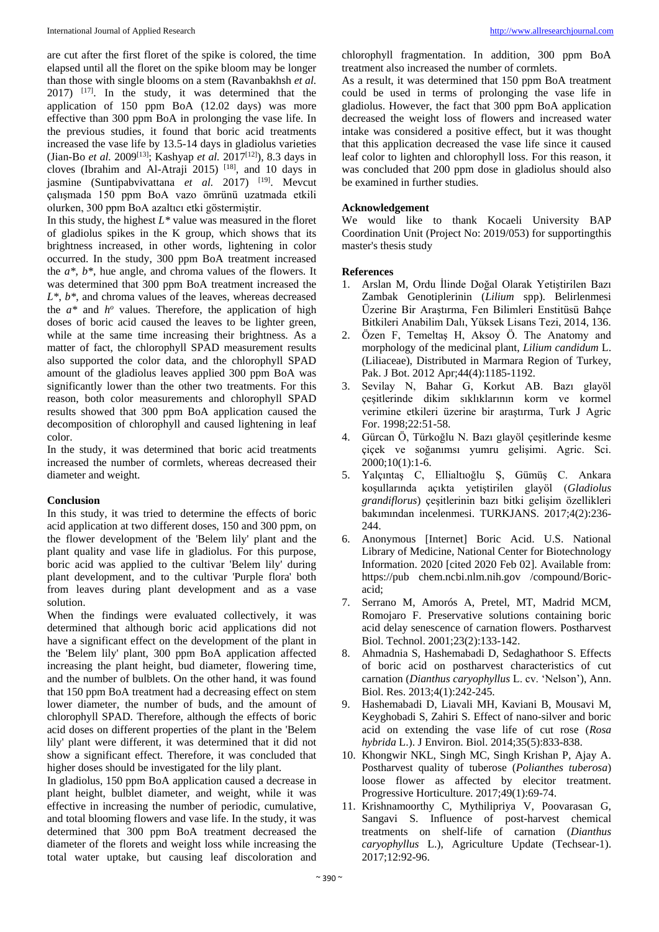are cut after the first floret of the spike is colored, the time elapsed until all the floret on the spike bloom may be longer than those with single blooms on a stem (Ravanbakhsh *et al.* 2017) [17]. In the study, it was determined that the application of 150 ppm BoA (12.02 days) was more effective than 300 ppm BoA in prolonging the vase life. In the previous studies, it found that boric acid treatments increased the vase life by 13.5-14 days in gladiolus varieties (Jian-Bo *et al.* 2009[13]; Kashyap *et al.* 2017[12]), 8.3 days in cloves (Ibrahim and Al-Atraji 2015) [18], and 10 days in jasmine (Suntipabvivattana *et al.* 2017)<sup>[19]</sup>. Mevcut çalışmada 150 ppm BoA vazo ömrünü uzatmada etkili olurken, 300 ppm BoA azaltıcı etki göstermiştir.

In this study, the highest *L\** value was measured in the floret of gladiolus spikes in the K group, which shows that its brightness increased, in other words, lightening in color occurred. In the study, 300 ppm BoA treatment increased the *a\**, *b\**, hue angle, and chroma values of the flowers. It was determined that 300 ppm BoA treatment increased the *L\**, *b\**, and chroma values of the leaves, whereas decreased the  $a^*$  and  $h^o$  values. Therefore, the application of high doses of boric acid caused the leaves to be lighter green, while at the same time increasing their brightness. As a matter of fact, the chlorophyll SPAD measurement results also supported the color data, and the chlorophyll SPAD amount of the gladiolus leaves applied 300 ppm BoA was significantly lower than the other two treatments. For this reason, both color measurements and chlorophyll SPAD results showed that 300 ppm BoA application caused the decomposition of chlorophyll and caused lightening in leaf color.

In the study, it was determined that boric acid treatments increased the number of cormlets, whereas decreased their diameter and weight.

## **Conclusion**

In this study, it was tried to determine the effects of boric acid application at two different doses, 150 and 300 ppm, on the flower development of the 'Belem lily' plant and the plant quality and vase life in gladiolus. For this purpose, boric acid was applied to the cultivar 'Belem lily' during plant development, and to the cultivar 'Purple flora' both from leaves during plant development and as a vase solution.

When the findings were evaluated collectively, it was determined that although boric acid applications did not have a significant effect on the development of the plant in the 'Belem lily' plant, 300 ppm BoA application affected increasing the plant height, bud diameter, flowering time, and the number of bulblets. On the other hand, it was found that 150 ppm BoA treatment had a decreasing effect on stem lower diameter, the number of buds, and the amount of chlorophyll SPAD. Therefore, although the effects of boric acid doses on different properties of the plant in the 'Belem lily' plant were different, it was determined that it did not show a significant effect. Therefore, it was concluded that higher doses should be investigated for the lily plant.

In gladiolus, 150 ppm BoA application caused a decrease in plant height, bulblet diameter, and weight, while it was effective in increasing the number of periodic, cumulative, and total blooming flowers and vase life. In the study, it was determined that 300 ppm BoA treatment decreased the diameter of the florets and weight loss while increasing the total water uptake, but causing leaf discoloration and

chlorophyll fragmentation. In addition, 300 ppm BoA treatment also increased the number of cormlets.

As a result, it was determined that 150 ppm BoA treatment could be used in terms of prolonging the vase life in gladiolus. However, the fact that 300 ppm BoA application decreased the weight loss of flowers and increased water intake was considered a positive effect, but it was thought that this application decreased the vase life since it caused leaf color to lighten and chlorophyll loss. For this reason, it was concluded that 200 ppm dose in gladiolus should also be examined in further studies.

## **Acknowledgement**

We would like to thank Kocaeli University BAP Coordination Unit (Project No: 2019/053) for supportingthis master's thesis study

## **References**

- 1. Arslan M, Ordu İlinde Doğal Olarak Yetiştirilen Bazı Zambak Genotiplerinin (*Lilium* spp). Belirlenmesi Üzerine Bir Araştırma, Fen Bilimleri Enstitüsü Bahçe Bitkileri Anabilim Dalı, Yüksek Lisans Tezi, 2014, 136.
- 2. Özen F, Temeltaş H, Aksoy Ö. The Anatomy and morphology of the medicinal plant, *Lilium candidum* L. (Liliaceae), Distributed in Marmara Region of Turkey, Pak. J Bot. 2012 Apr;44(4):1185-1192.
- 3. Sevilay N, Bahar G, Korkut AB. Bazı glayöl çeşitlerinde dikim sıklıklarının korm ve kormel verimine etkileri üzerine bir araştırma, Turk J Agric For. 1998;22:51-58.
- 4. Gürcan Ö, Türkoğlu N. Bazı glayöl çeşitlerinde kesme çiçek ve soğanımsı yumru gelişimi. Agric. Sci. 2000;10(1):1-6.
- 5. Yalçıntaş C, Ellialtıoğlu Ş, Gümüş C. Ankara koşullarında açıkta yetiştirilen glayöl (*Gladiolus grandiflorus*) çeşitlerinin bazı bitki gelişim özellikleri bakımından incelenmesi. TURKJANS. 2017;4(2):236- 244.
- 6. Anonymous [Internet] Boric Acid. U.S. National Library of Medicine, National Center for Biotechnology Information. 2020 [cited 2020 Feb 02]. Available from: https://pub chem.ncbi.nlm.nih.gov /compound/Boricacid;
- 7. Serrano M, Amorós A, Pretel, MT, Madrid MCM, Romojaro F. Preservative solutions containing boric acid delay senescence of carnation flowers. Postharvest Biol. Technol. 2001;23(2):133-142.
- 8. Ahmadnia S, Hashemabadi D, Sedaghathoor S. Effects of boric acid on postharvest characteristics of cut carnation (*Dianthus caryophyllus* L. cv. 'Nelson'), Ann. Biol. Res. 2013;4(1):242-245.
- 9. Hashemabadi D, Liavali MH, Kaviani B, Mousavi M, Keyghobadi S, Zahiri S. Effect of nano-silver and boric acid on extending the vase life of cut rose (*Rosa hybrida* L.). J Environ. Biol. 2014;35(5):833-838.
- 10. Khongwir NKL, Singh MC, Singh Krishan P, Ajay A. Postharvest quality of tuberose (*Polianthes tuberosa*) loose flower as affected by elecitor treatment. Progressive Horticulture. 2017;49(1):69-74.
- 11. Krishnamoorthy C, Mythilipriya V, Poovarasan G, Sangavi S. Influence of post-harvest chemical treatments on shelf-life of carnation (*Dianthus caryophyllus* L.), Agriculture Update (Techsear-1). 2017;12:92-96.